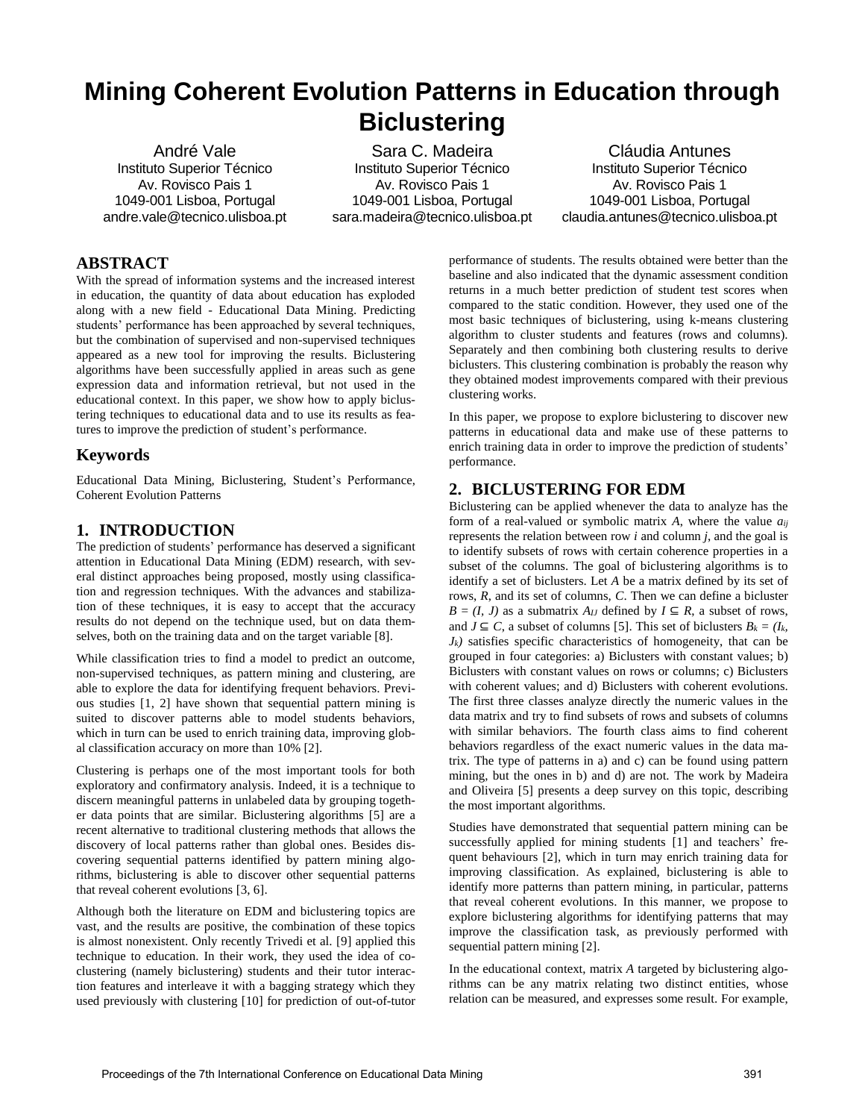# **Mining Coherent Evolution Patterns in Education through Biclustering**

André Vale Instituto Superior Técnico Av. Rovisco Pais 1 1049-001 Lisboa, Portugal andre.vale@tecnico.ulisboa.pt

Sara C. Madeira Instituto Superior Técnico Av. Rovisco Pais 1 1049-001 Lisboa, Portugal sara.madeira@tecnico.ulisboa.pt

Cláudia Antunes Instituto Superior Técnico Av. Rovisco Pais 1 1049-001 Lisboa, Portugal claudia.antunes@tecnico.ulisboa.pt

# **ABSTRACT**

With the spread of information systems and the increased interest in education, the quantity of data about education has exploded along with a new field - Educational Data Mining. Predicting students' performance has been approached by several techniques, but the combination of supervised and non-supervised techniques appeared as a new tool for improving the results. Biclustering algorithms have been successfully applied in areas such as gene expression data and information retrieval, but not used in the educational context. In this paper, we show how to apply biclustering techniques to educational data and to use its results as features to improve the prediction of student's performance.

# **Keywords**

Educational Data Mining, Biclustering, Student's Performance, Coherent Evolution Patterns

# **1. INTRODUCTION**

The prediction of students' performance has deserved a significant attention in Educational Data Mining (EDM) research, with several distinct approaches being proposed, mostly using classification and regression techniques. With the advances and stabilization of these techniques, it is easy to accept that the accuracy results do not depend on the technique used, but on data themselves, both on the training data and on the target variable [8].

While classification tries to find a model to predict an outcome, non-supervised techniques, as pattern mining and clustering, are able to explore the data for identifying frequent behaviors. Previous studies [1, 2] have shown that sequential pattern mining is suited to discover patterns able to model students behaviors, which in turn can be used to enrich training data, improving global classification accuracy on more than 10% [2].

Clustering is perhaps one of the most important tools for both exploratory and confirmatory analysis. Indeed, it is a technique to discern meaningful patterns in unlabeled data by grouping together data points that are similar. Biclustering algorithms [5] are a recent alternative to traditional clustering methods that allows the discovery of local patterns rather than global ones. Besides discovering sequential patterns identified by pattern mining algorithms, biclustering is able to discover other sequential patterns that reveal coherent evolutions [3, 6].

Although both the literature on EDM and biclustering topics are vast, and the results are positive, the combination of these topics is almost nonexistent. Only recently Trivedi et al. [9] applied this technique to education. In their work, they used the idea of coclustering (namely biclustering) students and their tutor interaction features and interleave it with a bagging strategy which they used previously with clustering [10] for prediction of out-of-tutor

performance of students. The results obtained were better than the baseline and also indicated that the dynamic assessment condition returns in a much better prediction of student test scores when compared to the static condition. However, they used one of the most basic techniques of biclustering, using k-means clustering algorithm to cluster students and features (rows and columns). Separately and then combining both clustering results to derive biclusters. This clustering combination is probably the reason why they obtained modest improvements compared with their previous clustering works.

In this paper, we propose to explore biclustering to discover new patterns in educational data and make use of these patterns to enrich training data in order to improve the prediction of students' performance.

# **2. BICLUSTERING FOR EDM**

Biclustering can be applied whenever the data to analyze has the form of a real-valued or symbolic matrix *A*, where the value *aij* represents the relation between row *i* and column *j*, and the goal is to identify subsets of rows with certain coherence properties in a subset of the columns. The goal of biclustering algorithms is to identify a set of biclusters. Let *A* be a matrix defined by its set of rows, *R*, and its set of columns, *C*. Then we can define a bicluster  $B = (I, J)$  as a submatrix  $A_{IJ}$  defined by  $I \subseteq R$ , a subset of rows, and *J* ⊆ *C*, a subset of columns [5]. This set of biclusters  $B_k = (I_k, I_k)$  $J_k$  satisfies specific characteristics of homogeneity, that can be grouped in four categories: a) Biclusters with constant values; b) Biclusters with constant values on rows or columns; c) Biclusters with coherent values; and d) Biclusters with coherent evolutions. The first three classes analyze directly the numeric values in the data matrix and try to find subsets of rows and subsets of columns with similar behaviors. The fourth class aims to find coherent behaviors regardless of the exact numeric values in the data matrix. The type of patterns in a) and c) can be found using pattern mining, but the ones in b) and d) are not. The work by Madeira and Oliveira [5] presents a deep survey on this topic, describing the most important algorithms.

Studies have demonstrated that sequential pattern mining can be successfully applied for mining students [1] and teachers' frequent behaviours [2], which in turn may enrich training data for improving classification. As explained, biclustering is able to identify more patterns than pattern mining, in particular, patterns that reveal coherent evolutions. In this manner, we propose to explore biclustering algorithms for identifying patterns that may improve the classification task, as previously performed with sequential pattern mining [2].

In the educational context, matrix *A* targeted by biclustering algorithms can be any matrix relating two distinct entities, whose relation can be measured, and expresses some result. For example,